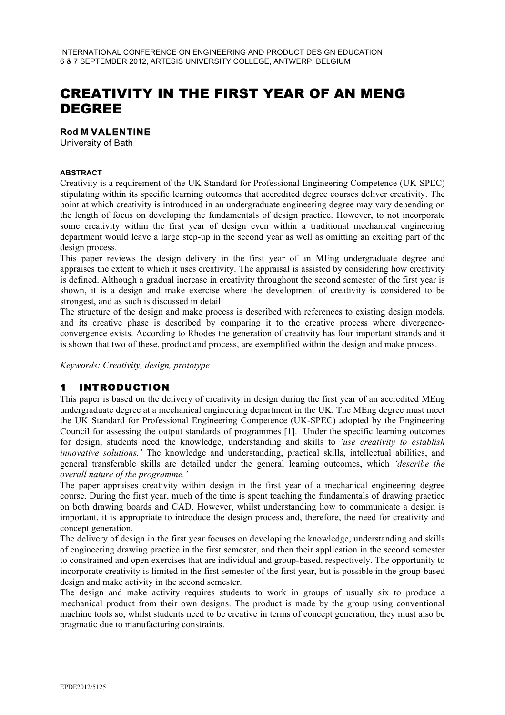# CREATIVITY IN THE FIRST YEAR OF AN MENG DEGREE

#### **Rod M VALENTINE**

University of Bath

#### **ABSTRACT**

Creativity is a requirement of the UK Standard for Professional Engineering Competence (UK-SPEC) stipulating within its specific learning outcomes that accredited degree courses deliver creativity. The point at which creativity is introduced in an undergraduate engineering degree may vary depending on the length of focus on developing the fundamentals of design practice. However, to not incorporate some creativity within the first year of design even within a traditional mechanical engineering department would leave a large step-up in the second year as well as omitting an exciting part of the design process.

This paper reviews the design delivery in the first year of an MEng undergraduate degree and appraises the extent to which it uses creativity. The appraisal is assisted by considering how creativity is defined. Although a gradual increase in creativity throughout the second semester of the first year is shown, it is a design and make exercise where the development of creativity is considered to be strongest, and as such is discussed in detail.

The structure of the design and make process is described with references to existing design models, and its creative phase is described by comparing it to the creative process where divergenceconvergence exists. According to Rhodes the generation of creativity has four important strands and it is shown that two of these, product and process, are exemplified within the design and make process.

*Keywords: Creativity, design, prototype*

# 1 INTRODUCTION

This paper is based on the delivery of creativity in design during the first year of an accredited MEng undergraduate degree at a mechanical engineering department in the UK. The MEng degree must meet the UK Standard for Professional Engineering Competence (UK-SPEC) adopted by the Engineering Council for assessing the output standards of programmes [1]. Under the specific learning outcomes for design, students need the knowledge, understanding and skills to *'use creativity to establish innovative solutions.'* The knowledge and understanding, practical skills, intellectual abilities, and general transferable skills are detailed under the general learning outcomes, which *'describe the overall nature of the programme.'*

The paper appraises creativity within design in the first year of a mechanical engineering degree course. During the first year, much of the time is spent teaching the fundamentals of drawing practice on both drawing boards and CAD. However, whilst understanding how to communicate a design is important, it is appropriate to introduce the design process and, therefore, the need for creativity and concept generation.

The delivery of design in the first year focuses on developing the knowledge, understanding and skills of engineering drawing practice in the first semester, and then their application in the second semester to constrained and open exercises that are individual and group-based, respectively. The opportunity to incorporate creativity is limited in the first semester of the first year, but is possible in the group-based design and make activity in the second semester.

The design and make activity requires students to work in groups of usually six to produce a mechanical product from their own designs. The product is made by the group using conventional machine tools so, whilst students need to be creative in terms of concept generation, they must also be pragmatic due to manufacturing constraints.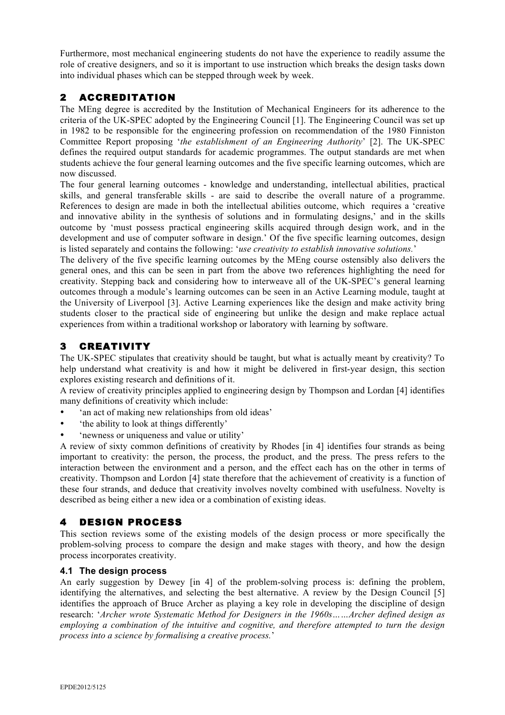Furthermore, most mechanical engineering students do not have the experience to readily assume the role of creative designers, and so it is important to use instruction which breaks the design tasks down into individual phases which can be stepped through week by week.

# 2 ACCREDITATION

The MEng degree is accredited by the Institution of Mechanical Engineers for its adherence to the criteria of the UK-SPEC adopted by the Engineering Council [1]. The Engineering Council was set up in 1982 to be responsible for the engineering profession on recommendation of the 1980 Finniston Committee Report proposing '*the establishment of an Engineering Authority*' [2]. The UK-SPEC defines the required output standards for academic programmes. The output standards are met when students achieve the four general learning outcomes and the five specific learning outcomes, which are now discussed.

The four general learning outcomes - knowledge and understanding, intellectual abilities, practical skills, and general transferable skills - are said to describe the overall nature of a programme. References to design are made in both the intellectual abilities outcome, which requires a 'creative and innovative ability in the synthesis of solutions and in formulating designs,' and in the skills outcome by 'must possess practical engineering skills acquired through design work, and in the development and use of computer software in design.' Of the five specific learning outcomes, design is listed separately and contains the following: '*use creativity to establish innovative solutions.*'

The delivery of the five specific learning outcomes by the MEng course ostensibly also delivers the general ones, and this can be seen in part from the above two references highlighting the need for creativity. Stepping back and considering how to interweave all of the UK-SPEC's general learning outcomes through a module's learning outcomes can be seen in an Active Learning module, taught at the University of Liverpool [3]. Active Learning experiences like the design and make activity bring students closer to the practical side of engineering but unlike the design and make replace actual experiences from within a traditional workshop or laboratory with learning by software.

### 3 CREATIVITY

The UK-SPEC stipulates that creativity should be taught, but what is actually meant by creativity? To help understand what creativity is and how it might be delivered in first-year design, this section explores existing research and definitions of it.

A review of creativity principles applied to engineering design by Thompson and Lordan [4] identifies many definitions of creativity which include:

- 'an act of making new relationships from old ideas'
- 'the ability to look at things differently'
- 'newness or uniqueness and value or utility'

A review of sixty common definitions of creativity by Rhodes [in 4] identifies four strands as being important to creativity: the person, the process, the product, and the press. The press refers to the interaction between the environment and a person, and the effect each has on the other in terms of creativity. Thompson and Lordon [4] state therefore that the achievement of creativity is a function of these four strands, and deduce that creativity involves novelty combined with usefulness. Novelty is described as being either a new idea or a combination of existing ideas.

# 4 DESIGN PROCESS

This section reviews some of the existing models of the design process or more specifically the problem-solving process to compare the design and make stages with theory, and how the design process incorporates creativity.

#### **4.1 The design process**

An early suggestion by Dewey [in 4] of the problem-solving process is: defining the problem, identifying the alternatives, and selecting the best alternative. A review by the Design Council [5] identifies the approach of Bruce Archer as playing a key role in developing the discipline of design research: '*Archer wrote Systematic Method for Designers in the 1960s……Archer defined design as employing a combination of the intuitive and cognitive, and therefore attempted to turn the design process into a science by formalising a creative process.*'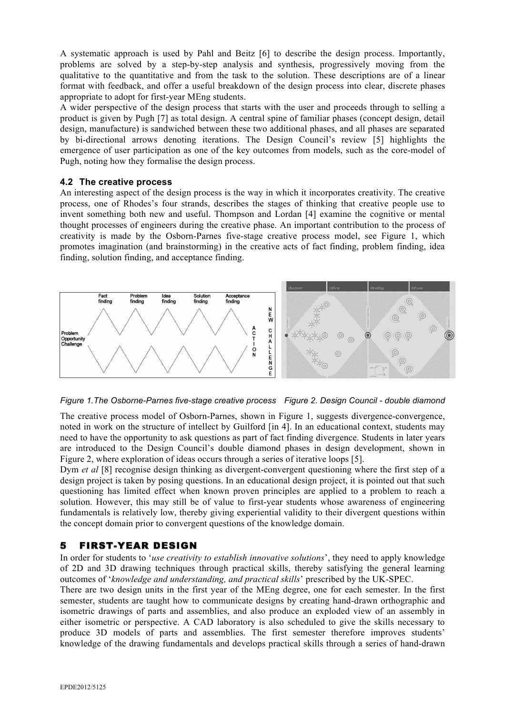A systematic approach is used by Pahl and Beitz [6] to describe the design process. Importantly, problems are solved by a step-by-step analysis and synthesis, progressively moving from the qualitative to the quantitative and from the task to the solution. These descriptions are of a linear format with feedback, and offer a useful breakdown of the design process into clear, discrete phases appropriate to adopt for first-year MEng students.

A wider perspective of the design process that starts with the user and proceeds through to selling a product is given by Pugh [7] as total design. A central spine of familiar phases (concept design, detail design, manufacture) is sandwiched between these two additional phases, and all phases are separated by bi-directional arrows denoting iterations. The Design Council's review [5] highlights the emergence of user participation as one of the key outcomes from models, such as the core-model of Pugh, noting how they formalise the design process.

#### **4.2 The creative process**

An interesting aspect of the design process is the way in which it incorporates creativity. The creative process, one of Rhodes's four strands, describes the stages of thinking that creative people use to invent something both new and useful. Thompson and Lordan [4] examine the cognitive or mental thought processes of engineers during the creative phase. An important contribution to the process of creativity is made by the Osborn-Parnes five-stage creative process model, see Figure 1, which promotes imagination (and brainstorming) in the creative acts of fact finding, problem finding, idea finding, solution finding, and acceptance finding.



*Figure 1.The Osborne-Parnes five-stage creative process Figure 2. Design Council - double diamond*

The creative process model of Osborn-Parnes, shown in Figure 1, suggests divergence-convergence, noted in work on the structure of intellect by Guilford [in 4]. In an educational context, students may need to have the opportunity to ask questions as part of fact finding divergence. Students in later years are introduced to the Design Council's double diamond phases in design development, shown in Figure 2, where exploration of ideas occurs through a series of iterative loops [5].

Dym *et al* [8] recognise design thinking as divergent-convergent questioning where the first step of a design project is taken by posing questions. In an educational design project, it is pointed out that such questioning has limited effect when known proven principles are applied to a problem to reach a solution. However, this may still be of value to first-year students whose awareness of engineering fundamentals is relatively low, thereby giving experiential validity to their divergent questions within the concept domain prior to convergent questions of the knowledge domain.

# 5 FIRST-YEAR DESIGN

In order for students to '*use creativity to establish innovative solutions*', they need to apply knowledge of 2D and 3D drawing techniques through practical skills, thereby satisfying the general learning outcomes of '*knowledge and understanding, and practical skills*' prescribed by the UK-SPEC.

There are two design units in the first year of the MEng degree, one for each semester. In the first semester, students are taught how to communicate designs by creating hand-drawn orthographic and isometric drawings of parts and assemblies, and also produce an exploded view of an assembly in either isometric or perspective. A CAD laboratory is also scheduled to give the skills necessary to produce 3D models of parts and assemblies. The first semester therefore improves students' knowledge of the drawing fundamentals and develops practical skills through a series of hand-drawn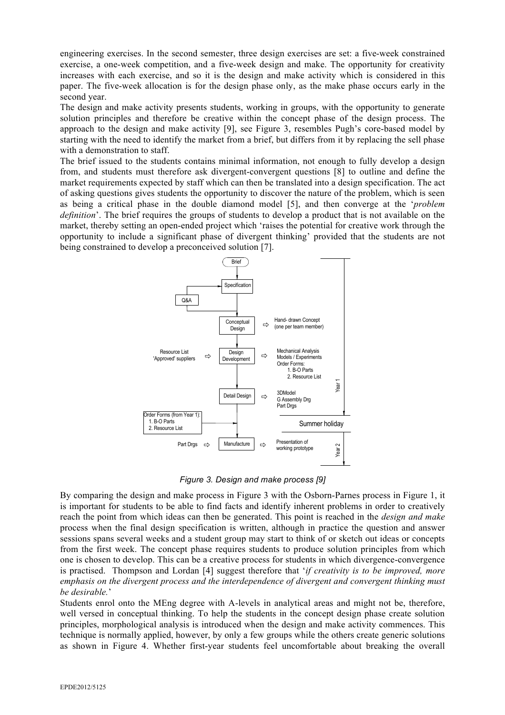engineering exercises. In the second semester, three design exercises are set: a five-week constrained exercise, a one-week competition, and a five-week design and make. The opportunity for creativity increases with each exercise, and so it is the design and make activity which is considered in this paper. The five-week allocation is for the design phase only, as the make phase occurs early in the second year.

The design and make activity presents students, working in groups, with the opportunity to generate solution principles and therefore be creative within the concept phase of the design process. The approach to the design and make activity [9], see Figure 3, resembles Pugh's core-based model by starting with the need to identify the market from a brief, but differs from it by replacing the sell phase with a demonstration to staff.

The brief issued to the students contains minimal information, not enough to fully develop a design from, and students must therefore ask divergent-convergent questions [8] to outline and define the market requirements expected by staff which can then be translated into a design specification. The act of asking questions gives students the opportunity to discover the nature of the problem, which is seen as being a critical phase in the double diamond model [5], and then converge at the '*problem definition*'. The brief requires the groups of students to develop a product that is not available on the market, thereby setting an open-ended project which 'raises the potential for creative work through the opportunity to include a significant phase of divergent thinking' provided that the students are not being constrained to develop a preconceived solution [7].



*Figure 3. Design and make process [9]*

By comparing the design and make process in Figure 3 with the Osborn-Parnes process in Figure 1, it is important for students to be able to find facts and identify inherent problems in order to creatively reach the point from which ideas can then be generated. This point is reached in the *design and make* process when the final design specification is written, although in practice the question and answer sessions spans several weeks and a student group may start to think of or sketch out ideas or concepts from the first week. The concept phase requires students to produce solution principles from which one is chosen to develop. This can be a creative process for students in which divergence-convergence is practised. Thompson and Lordan [4] suggest therefore that '*if creativity is to be improved, more emphasis on the divergent process and the interdependence of divergent and convergent thinking must be desirable.*'

Students enrol onto the MEng degree with A-levels in analytical areas and might not be, therefore, well versed in conceptual thinking. To help the students in the concept design phase create solution principles, morphological analysis is introduced when the design and make activity commences. This technique is normally applied, however, by only a few groups while the others create generic solutions as shown in Figure 4. Whether first-year students feel uncomfortable about breaking the overall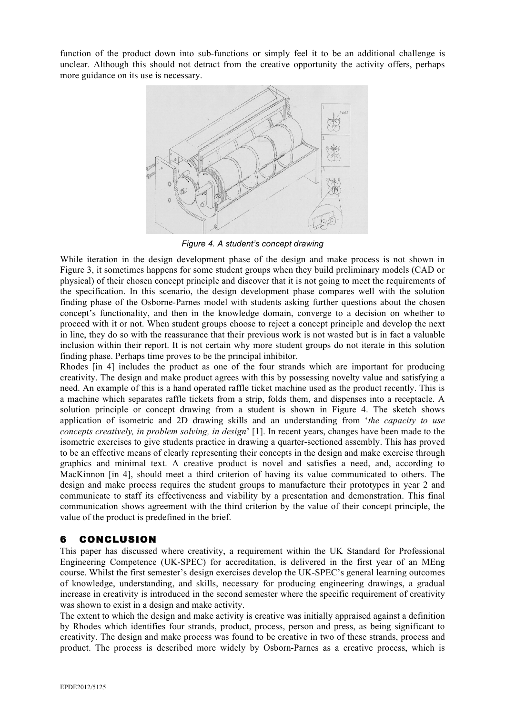function of the product down into sub-functions or simply feel it to be an additional challenge is unclear. Although this should not detract from the creative opportunity the activity offers, perhaps more guidance on its use is necessary.



*Figure 4. A student's concept drawing*

While iteration in the design development phase of the design and make process is not shown in Figure 3, it sometimes happens for some student groups when they build preliminary models (CAD or physical) of their chosen concept principle and discover that it is not going to meet the requirements of the specification. In this scenario, the design development phase compares well with the solution finding phase of the Osborne-Parnes model with students asking further questions about the chosen concept's functionality, and then in the knowledge domain, converge to a decision on whether to proceed with it or not. When student groups choose to reject a concept principle and develop the next in line, they do so with the reassurance that their previous work is not wasted but is in fact a valuable inclusion within their report. It is not certain why more student groups do not iterate in this solution finding phase. Perhaps time proves to be the principal inhibitor.

Rhodes [in 4] includes the product as one of the four strands which are important for producing creativity. The design and make product agrees with this by possessing novelty value and satisfying a need. An example of this is a hand operated raffle ticket machine used as the product recently. This is a machine which separates raffle tickets from a strip, folds them, and dispenses into a receptacle. A solution principle or concept drawing from a student is shown in Figure 4. The sketch shows application of isometric and 2D drawing skills and an understanding from '*the capacity to use concepts creatively, in problem solving, in design*' [1]. In recent years, changes have been made to the isometric exercises to give students practice in drawing a quarter-sectioned assembly. This has proved to be an effective means of clearly representing their concepts in the design and make exercise through graphics and minimal text. A creative product is novel and satisfies a need, and, according to MacKinnon [in 4], should meet a third criterion of having its value communicated to others. The design and make process requires the student groups to manufacture their prototypes in year 2 and communicate to staff its effectiveness and viability by a presentation and demonstration. This final communication shows agreement with the third criterion by the value of their concept principle, the value of the product is predefined in the brief.

### 6 CONCLUSION

This paper has discussed where creativity, a requirement within the UK Standard for Professional Engineering Competence (UK-SPEC) for accreditation, is delivered in the first year of an MEng course. Whilst the first semester's design exercises develop the UK-SPEC's general learning outcomes of knowledge, understanding, and skills, necessary for producing engineering drawings, a gradual increase in creativity is introduced in the second semester where the specific requirement of creativity was shown to exist in a design and make activity.

The extent to which the design and make activity is creative was initially appraised against a definition by Rhodes which identifies four strands, product, process, person and press, as being significant to creativity. The design and make process was found to be creative in two of these strands, process and product. The process is described more widely by Osborn-Parnes as a creative process, which is